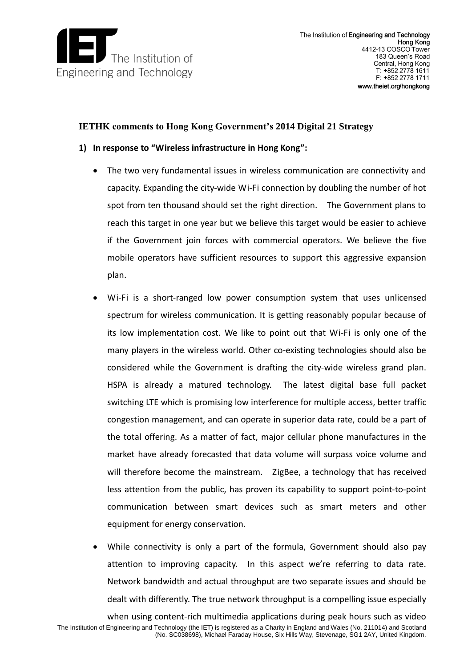

# **IETHK comments to Hong Kong Government's 2014 Digital 21 Strategy**

# **1) In response to "Wireless infrastructure in Hong Kong":**

- The two very fundamental issues in wireless communication are connectivity and capacity. Expanding the city-wide Wi-Fi connection by doubling the number of hot spot from ten thousand should set the right direction. The Government plans to reach this target in one year but we believe this target would be easier to achieve if the Government join forces with commercial operators. We believe the five mobile operators have sufficient resources to support this aggressive expansion plan.
- Wi-Fi is a short-ranged low power consumption system that uses unlicensed spectrum for wireless communication. It is getting reasonably popular because of its low implementation cost. We like to point out that Wi-Fi is only one of the many players in the wireless world. Other co-existing technologies should also be considered while the Government is drafting the city-wide wireless grand plan. HSPA is already a matured technology. The latest digital base full packet switching LTE which is promising low interference for multiple access, better traffic congestion management, and can operate in superior data rate, could be a part of the total offering. As a matter of fact, major cellular phone manufactures in the market have already forecasted that data volume will surpass voice volume and will therefore become the mainstream. ZigBee, a technology that has received less attention from the public, has proven its capability to support point-to-point communication between smart devices such as smart meters and other equipment for energy conservation.
- While connectivity is only a part of the formula, Government should also pay attention to improving capacity. In this aspect we're referring to data rate. Network bandwidth and actual throughput are two separate issues and should be dealt with differently. The true network throughput is a compelling issue especially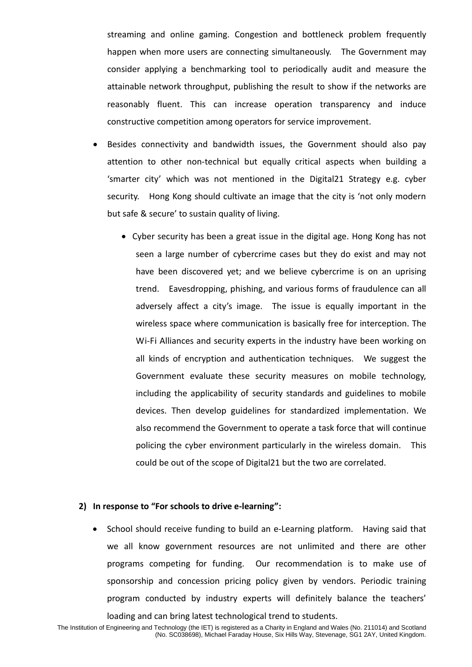streaming and online gaming. Congestion and bottleneck problem frequently happen when more users are connecting simultaneously. The Government may consider applying a benchmarking tool to periodically audit and measure the attainable network throughput, publishing the result to show if the networks are reasonably fluent. This can increase operation transparency and induce constructive competition among operators for service improvement.

- Besides connectivity and bandwidth issues, the Government should also pay attention to other non-technical but equally critical aspects when building a 'smarter city' which was not mentioned in the Digital21 Strategy e.g. cyber security. Hong Kong should cultivate an image that the city is 'not only modern but safe & secure' to sustain quality of living.
	- Cyber security has been a great issue in the digital age. Hong Kong has not seen a large number of cybercrime cases but they do exist and may not have been discovered yet; and we believe cybercrime is on an uprising trend. Eavesdropping, phishing, and various forms of fraudulence can all adversely affect a city's image. The issue is equally important in the wireless space where communication is basically free for interception. The Wi-Fi Alliances and security experts in the industry have been working on all kinds of encryption and authentication techniques. We suggest the Government evaluate these security measures on mobile technology, including the applicability of security standards and guidelines to mobile devices. Then develop guidelines for standardized implementation. We also recommend the Government to operate a task force that will continue policing the cyber environment particularly in the wireless domain. This could be out of the scope of Digital21 but the two are correlated.

### **2) In response to "For schools to drive e-learning":**

• School should receive funding to build an e-Learning platform. Having said that we all know government resources are not unlimited and there are other programs competing for funding. Our recommendation is to make use of sponsorship and concession pricing policy given by vendors. Periodic training program conducted by industry experts will definitely balance the teachers' loading and can bring latest technological trend to students.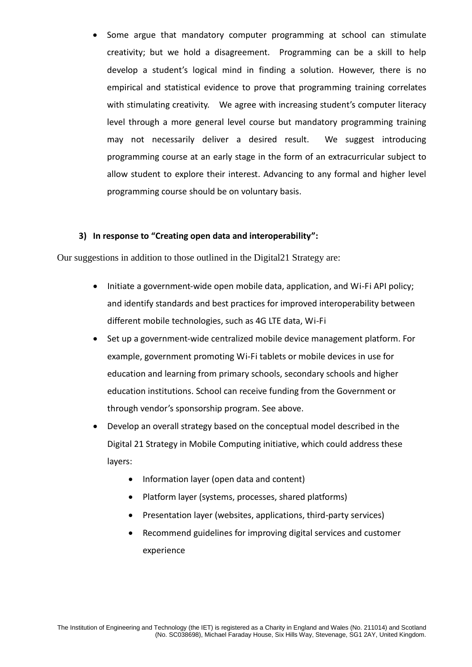Some argue that mandatory computer programming at school can stimulate creativity; but we hold a disagreement. Programming can be a skill to help develop a student's logical mind in finding a solution. However, there is no empirical and statistical evidence to prove that programming training correlates with stimulating creativity. We agree with increasing student's computer literacy level through a more general level course but mandatory programming training may not necessarily deliver a desired result. We suggest introducing programming course at an early stage in the form of an extracurricular subject to allow student to explore their interest. Advancing to any formal and higher level programming course should be on voluntary basis.

# **3) In response to "Creating open data and interoperability":**

Our suggestions in addition to those outlined in the Digital21 Strategy are:

- Initiate a government-wide open mobile data, application, and Wi-Fi API policy; and identify standards and best practices for improved interoperability between different mobile technologies, such as 4G LTE data, Wi-Fi
- Set up a government-wide centralized mobile device management platform. For example, government promoting Wi-Fi tablets or mobile devices in use for education institutions. School can receive funding from the Government or education and learning from primary schools, secondary schools and higher through vendor's sponsorship program. See above.
- Develop an overall strategy based on the conceptual model described in the Digital 21 Strategy in Mobile Computing initiative, which could address these layers:
	- Information layer (open data and content)
	- Platform layer (systems, processes, shared platforms)
	- Presentation layer (websites, applications, third-party services)
	- Recommend guidelines for improving digital services and customer experience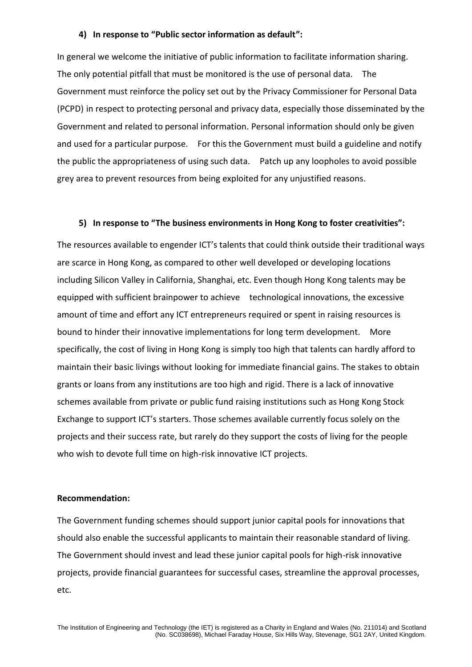#### **4) In response to "Public sector information as default":**

 In general we welcome the initiative of public information to facilitate information sharing. The only potential pitfall that must be monitored is the use of personal data. The Government must reinforce the policy set out by the Privacy Commissioner for Personal Data (PCPD) in respect to protecting personal and privacy data, especially those disseminated by the Government and related to personal information. Personal information should only be given and used for a particular purpose. For this the Government must build a guideline and notify the public the appropriateness of using such data. Patch up any loopholes to avoid possible grey area to prevent resources from being exploited for any unjustified reasons.

### **5) In response to "The business environments in Hong Kong to foster creativities":**

 The resources available to engender ICT's talents that could think outside their traditional ways are scarce in Hong Kong, as compared to other well developed or developing locations including Silicon Valley in California, Shanghai, etc. Even though Hong Kong talents may be equipped with sufficient brainpower to achieve technological innovations, the excessive amount of time and effort any ICT entrepreneurs required or spent in raising resources is bound to hinder their innovative implementations for long term development. More specifically, the cost of living in Hong Kong is simply too high that talents can hardly afford to maintain their basic livings without looking for immediate financial gains. The stakes to obtain grants or loans from any institutions are too high and rigid. There is a lack of innovative schemes available from private or public fund raising institutions such as Hong Kong Stock Exchange to support ICT's starters. Those schemes available currently focus solely on the projects and their success rate, but rarely do they support the costs of living for the people who wish to devote full time on high-risk innovative ICT projects.

#### **Recommendation:**

 The Government funding schemes should support junior capital pools for innovations that should also enable the successful applicants to maintain their reasonable standard of living. The Government should invest and lead these junior capital pools for high-risk innovative projects, provide financial guarantees for successful cases, streamline the approval processes, etc.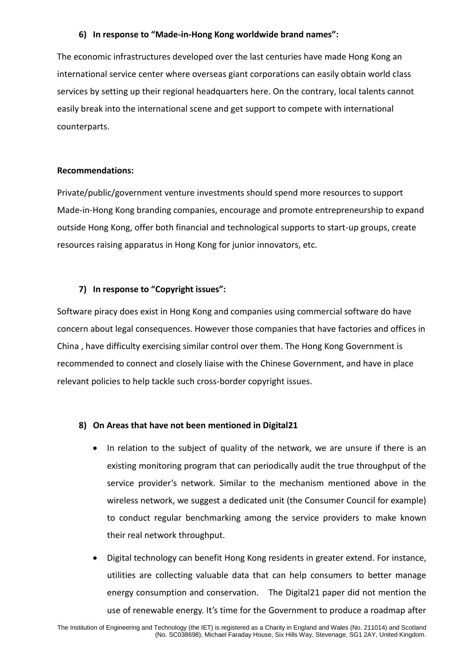# **6) In response to "Made-in-Hong Kong worldwide brand names":**

 The economic infrastructures developed over the last centuries have made Hong Kong an international service center where overseas giant corporations can easily obtain world class services by setting up their regional headquarters here. On the contrary, local talents cannot easily break into the international scene and get support to compete with international counterparts.

## **Recommendations:**

 Private/public/government venture investments should spend more resources to support Made-in-Hong Kong branding companies, encourage and promote entrepreneurship to expand outside Hong Kong, offer both financial and technological supports to start-up groups, create resources raising apparatus in Hong Kong for junior innovators, etc.

### **7) In response to "Copyright issues":**

 Software piracy does exist in Hong Kong and companies using commercial software do have concern about legal consequences. However those companies that have factories and offices in China , have difficulty exercising similar control over them. The Hong Kong Government is recommended to connect and closely liaise with the Chinese Government, and have in place relevant policies to help tackle such cross-border copyright issues.

### **8) On Areas that have not been mentioned in Digital21**

- In relation to the subject of quality of the network, we are unsure if there is an existing monitoring program that can periodically audit the true throughput of the service provider's network. Similar to the mechanism mentioned above in the wireless network, we suggest a dedicated unit (the Consumer Council for example) to conduct regular benchmarking among the service providers to make known their real network throughput.
- Digital technology can benefit Hong Kong residents in greater extend. For instance, utilities are collecting valuable data that can help consumers to better manage energy consumption and conservation. The Digital21 paper did not mention the use of renewable energy. It's time for the Government to produce a roadmap after